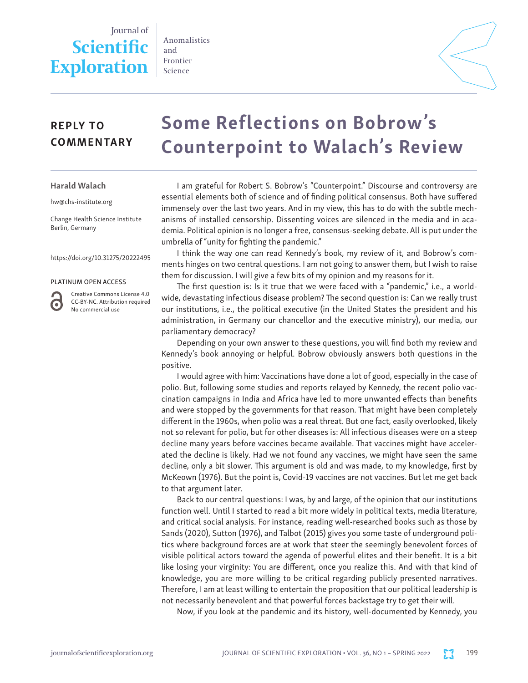## Journal of **Scientific Exploration**

Anomalistics and Frontier Science



## REPLY TO **COMMENTARY**

# Some Reflections on Bobrow's Counterpoint to Walach's Review

Harald Walach

hw@chs-institute.org

Change Health Science Institute Berlin, Germany

#### https://doi.org/10.31275/20222495

#### PLATINUM OPEN ACCESS

G

Creative Commons License 4.0 CC-BY-NC. Attribution required No commercial use

I am grateful for Robert S. Bobrow's "Counterpoint." Discourse and controversy are essential elements both of science and of finding political consensus. Both have suffered immensely over the last two years. And in my view, this has to do with the subtle mechanisms of installed censorship. Dissenting voices are silenced in the media and in academia. Political opinion is no longer a free, consensus-seeking debate. All is put under the umbrella of "unity for fighting the pandemic."

I think the way one can read Kennedy's book, my review of it, and Bobrow's comments hinges on two central questions. I am not going to answer them, but I wish to raise them for discussion. I will give a few bits of my opinion and my reasons for it.

The first question is: Is it true that we were faced with a "pandemic," i.e., a worldwide, devastating infectious disease problem? The second question is: Can we really trust our institutions, i.e., the political executive (in the United States the president and his administration, in Germany our chancellor and the executive ministry), our media, our parliamentary democracy?

Depending on your own answer to these questions, you will find both my review and Kennedy's book annoying or helpful. Bobrow obviously answers both questions in the positive.

I would agree with him: Vaccinations have done a lot of good, especially in the case of polio. But, following some studies and reports relayed by Kennedy, the recent polio vaccination campaigns in India and Africa have led to more unwanted effects than benefits and were stopped by the governments for that reason. That might have been completely different in the 1960s, when polio was a real threat. But one fact, easily overlooked, likely not so relevant for polio, but for other diseases is: All infectious diseases were on a steep decline many years before vaccines became available. That vaccines might have accelerated the decline is likely. Had we not found any vaccines, we might have seen the same decline, only a bit slower. This argument is old and was made, to my knowledge, first by McKeown (1976). But the point is, Covid-19 vaccines are not vaccines. But let me get back to that argument later.

Back to our central questions: I was, by and large, of the opinion that our institutions function well. Until I started to read a bit more widely in political texts, media literature, and critical social analysis. For instance, reading well-researched books such as those by Sands (2020), Sutton (1976), and Talbot (2015) gives you some taste of underground politics where background forces are at work that steer the seemingly benevolent forces of visible political actors toward the agenda of powerful elites and their benefit. It is a bit like losing your virginity: You are different, once you realize this. And with that kind of knowledge, you are more willing to be critical regarding publicly presented narratives. Therefore, I am at least willing to entertain the proposition that our political leadership is not necessarily benevolent and that powerful forces backstage try to get their will.

Now, if you look at the pandemic and its history, well-documented by Kennedy, you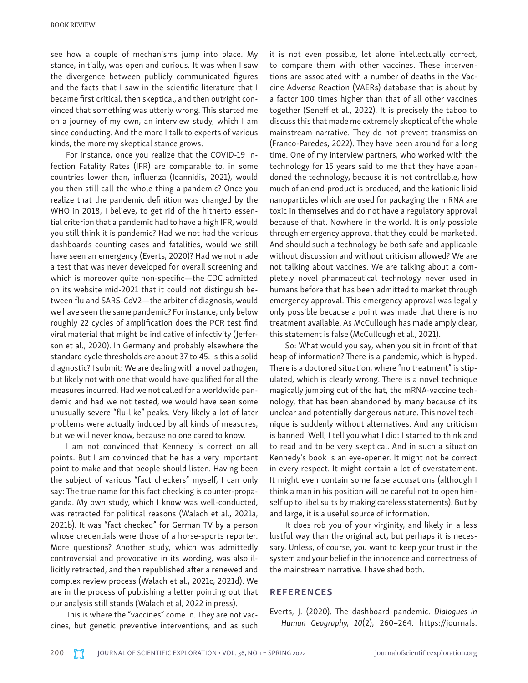see how a couple of mechanisms jump into place. My stance, initially, was open and curious. It was when I saw the divergence between publicly communicated figures and the facts that I saw in the scientific literature that I became first critical, then skeptical, and then outright convinced that something was utterly wrong. This started me on a journey of my own, an interview study, which I am since conducting. And the more I talk to experts of various kinds, the more my skeptical stance grows.

For instance, once you realize that the COVID-19 Infection Fatality Rates (IFR) are comparable to, in some countries lower than, influenza (Ioannidis, 2021), would you then still call the whole thing a pandemic? Once you realize that the pandemic definition was changed by the WHO in 2018, I believe, to get rid of the hitherto essential criterion that a pandemic had to have a high IFR, would you still think it is pandemic? Had we not had the various dashboards counting cases and fatalities, would we still have seen an emergency (Everts, 2020)? Had we not made a test that was never developed for overall screening and which is moreover quite non-specific—the CDC admitted on its website mid-2021 that it could not distinguish between flu and SARS-CoV2—the arbiter of diagnosis, would we have seen the same pandemic? For instance, only below roughly 22 cycles of amplification does the PCR test find viral material that might be indicative of infectivity (Jefferson et al., 2020). In Germany and probably elsewhere the standard cycle thresholds are about 37 to 45. Is this a solid diagnostic? I submit: We are dealing with a novel pathogen, but likely not with one that would have qualified for all the measures incurred. Had we not called for a worldwide pandemic and had we not tested, we would have seen some unusually severe "flu-like" peaks. Very likely a lot of later problems were actually induced by all kinds of measures, but we will never know, because no one cared to know.

I am not convinced that Kennedy is correct on all points. But I am convinced that he has a very important point to make and that people should listen. Having been the subject of various "fact checkers" myself, I can only say: The true name for this fact checking is counter-propaganda. My own study, which I know was well-conducted, was retracted for political reasons (Walach et al., 2021a, 2021b). It was "fact checked" for German TV by a person whose credentials were those of a horse-sports reporter. More questions? Another study, which was admittedly controversial and provocative in its wording, was also illicitly retracted, and then republished after a renewed and complex review process (Walach et al., 2021c, 2021d). We are in the process of publishing a letter pointing out that our analysis still stands (Walach et al, 2022 in press).

This is where the "vaccines" come in. They are not vaccines, but genetic preventive interventions, and as such

it is not even possible, let alone intellectually correct, to compare them with other vaccines. These interventions are associated with a number of deaths in the Vaccine Adverse Reaction (VAERs) database that is about by a factor 100 times higher than that of all other vaccines together (Seneff et al., 2022). It is precisely the taboo to discuss this that made me extremely skeptical of the whole mainstream narrative. They do not prevent transmission (Franco-Paredes, 2022). They have been around for a long time. One of my interview partners, who worked with the technology for 15 years said to me that they have abandoned the technology, because it is not controllable, how much of an end-product is produced, and the kationic lipid nanoparticles which are used for packaging the mRNA are toxic in themselves and do not have a regulatory approval because of that. Nowhere in the world. It is only possible through emergency approval that they could be marketed. And should such a technology be both safe and applicable without discussion and without criticism allowed? We are not talking about vaccines. We are talking about a completely novel pharmaceutical technology never used in humans before that has been admitted to market through emergency approval. This emergency approval was legally only possible because a point was made that there is no treatment available. As McCullough has made amply clear, this statement is false (McCullough et al., 2021).

So: What would you say, when you sit in front of that heap of information? There is a pandemic, which is hyped. There is a doctored situation, where "no treatment" is stipulated, which is clearly wrong. There is a novel technique magically jumping out of the hat, the mRNA-vaccine technology, that has been abandoned by many because of its unclear and potentially dangerous nature. This novel technique is suddenly without alternatives. And any criticism is banned. Well, I tell you what I did: I started to think and to read and to be very skeptical. And in such a situation Kennedy's book is an eye-opener. It might not be correct in every respect. It might contain a lot of overstatement. It might even contain some false accusations (although I think a man in his position will be careful not to open himself up to libel suits by making careless statements). But by and large, it is a useful source of information.

It does rob you of your virginity, and likely in a less lustful way than the original act, but perhaps it is necessary. Unless, of course, you want to keep your trust in the system and your belief in the innocence and correctness of the mainstream narrative. I have shed both.

### **REFERENCES**

Everts, J. (2020). The dashboard pandemic. *Dialogues in Human Geography, 10*(2), 260–264. https://journals.